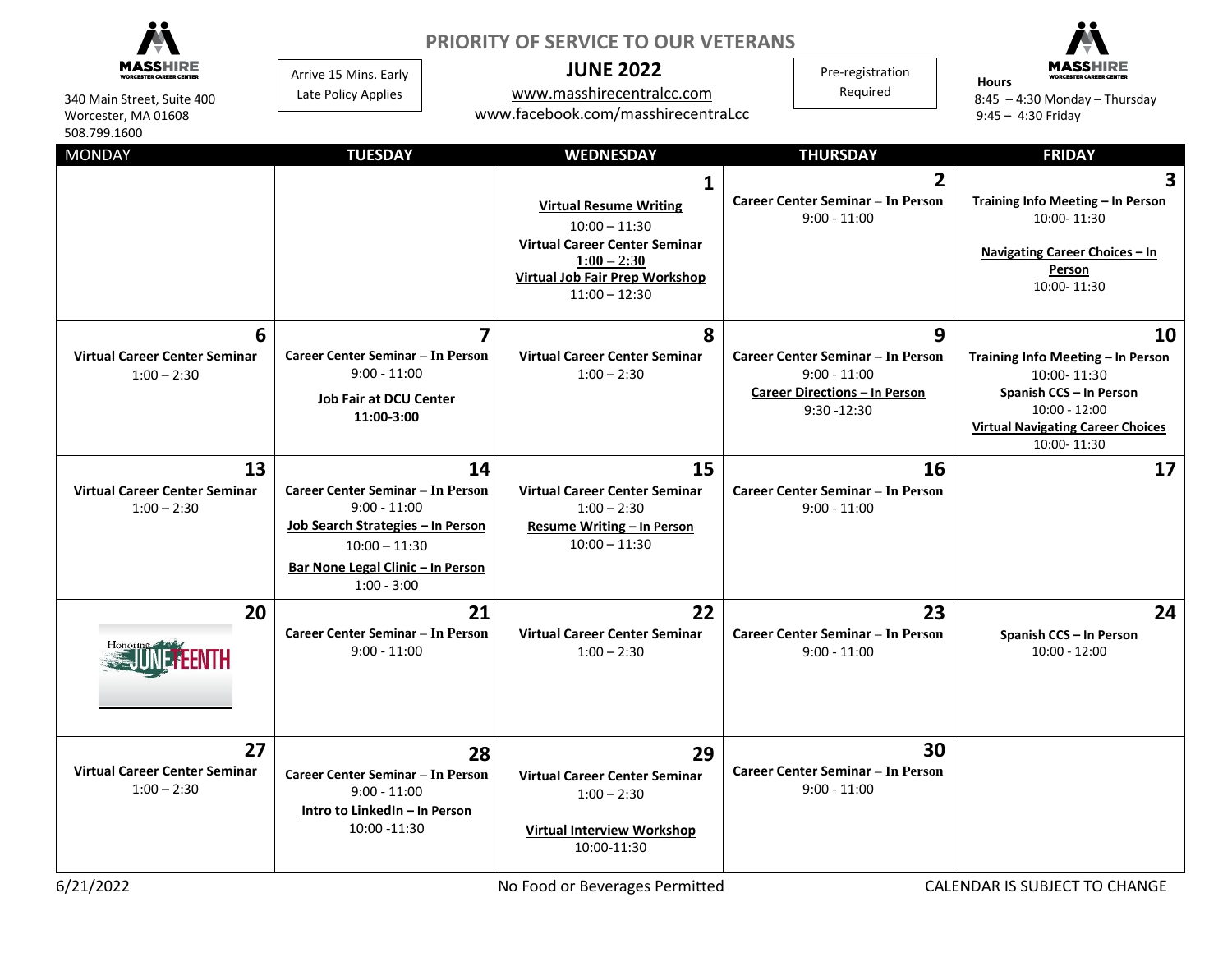|                                                                            | <b>PRIORITY OF SERVICE TO OUR VETERANS</b>                                                                                                                                     |                                                                                                                                                                                                |                                                                                                                           |                                                                                                                                                                 |
|----------------------------------------------------------------------------|--------------------------------------------------------------------------------------------------------------------------------------------------------------------------------|------------------------------------------------------------------------------------------------------------------------------------------------------------------------------------------------|---------------------------------------------------------------------------------------------------------------------------|-----------------------------------------------------------------------------------------------------------------------------------------------------------------|
| ORCESTER CAREER CENTE<br>340 Main Street, Suite 400<br>Worcester, MA 01608 | Arrive 15 Mins. Early<br>Late Policy Applies                                                                                                                                   | <b>JUNE 2022</b><br>www.masshirecentralcc.com<br>www.facebook.com/masshirecentraLcc                                                                                                            | Pre-registration<br>Required                                                                                              | <b>Hours</b><br>$8:45 - 4:30$ Monday - Thursday<br>$9:45 - 4:30$ Friday                                                                                         |
| 508.799.1600                                                               |                                                                                                                                                                                |                                                                                                                                                                                                |                                                                                                                           |                                                                                                                                                                 |
| <b>MONDAY</b>                                                              | <b>TUESDAY</b>                                                                                                                                                                 | <b>WEDNESDAY</b><br>1<br><b>Virtual Resume Writing</b><br>$10:00 - 11:30$<br><b>Virtual Career Center Seminar</b><br>$1:00 - 2:30$<br><b>Virtual Job Fair Prep Workshop</b><br>$11:00 - 12:30$ | <b>THURSDAY</b><br>$\overline{2}$<br><b>Career Center Seminar - In Person</b><br>$9:00 - 11:00$                           | <b>FRIDAY</b><br>$\mathbf{3}$<br>Training Info Meeting - In Person<br>10:00-11:30<br>Navigating Career Choices - In<br>Person<br>10:00-11:30                    |
| 6<br><b>Virtual Career Center Seminar</b><br>$1:00 - 2:30$                 | 7<br><b>Career Center Seminar - In Person</b><br>$9:00 - 11:00$<br><b>Job Fair at DCU Center</b><br>11:00-3:00                                                                 | 8<br><b>Virtual Career Center Seminar</b><br>$1:00 - 2:30$                                                                                                                                     | 9<br><b>Career Center Seminar - In Person</b><br>$9:00 - 11:00$<br><b>Career Directions - In Person</b><br>$9:30 - 12:30$ | 10<br>Training Info Meeting - In Person<br>10:00-11:30<br>Spanish CCS - In Person<br>$10:00 - 12:00$<br><b>Virtual Navigating Career Choices</b><br>10:00-11:30 |
| 13<br><b>Virtual Career Center Seminar</b><br>$1:00 - 2:30$                | 14<br><b>Career Center Seminar - In Person</b><br>$9:00 - 11:00$<br>Job Search Strategies - In Person<br>$10:00 - 11:30$<br>Bar None Legal Clinic - In Person<br>$1:00 - 3:00$ | 15<br><b>Virtual Career Center Seminar</b><br>$1:00 - 2:30$<br><b>Resume Writing - In Person</b><br>$10:00 - 11:30$                                                                            | 16<br><b>Career Center Seminar - In Person</b><br>$9:00 - 11:00$                                                          | 17                                                                                                                                                              |
| 20                                                                         | 21<br>Career Center Seminar - In Person<br>$9:00 - 11:00$                                                                                                                      | 22<br><b>Virtual Career Center Seminar</b><br>$1:00 - 2:30$                                                                                                                                    | 23<br>Career Center Seminar - In Person<br>$9:00 - 11:00$                                                                 | 24<br>Spanish CCS - In Person<br>$10:00 - 12:00$                                                                                                                |
| 27<br><b>Virtual Career Center Seminar</b><br>$1:00 - 2:30$                | 28<br>Career Center Seminar - In Person<br>$9:00 - 11:00$<br>Intro to LinkedIn - In Person<br>10:00 -11:30                                                                     | 29<br><b>Virtual Career Center Seminar</b><br>$1:00 - 2:30$<br><b>Virtual Interview Workshop</b><br>10:00-11:30                                                                                | 30<br><b>Career Center Seminar - In Person</b><br>$9:00 - 11:00$                                                          |                                                                                                                                                                 |
| 6/21/2022                                                                  |                                                                                                                                                                                | No Food or Beverages Permitted                                                                                                                                                                 |                                                                                                                           | CALENDAR IS SUBJECT TO CHANGE                                                                                                                                   |